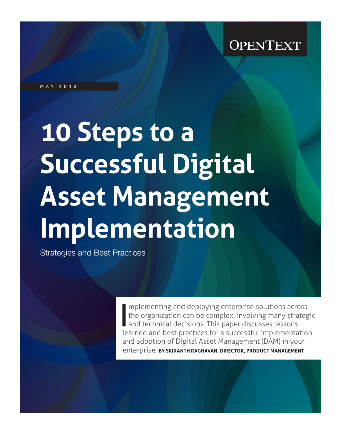may 2012

# **10 Steps to a Successful Digital Asset Management Implementation**

Strategies and Best Practices

I mplementing and deploying enterprise solutions across<br>the organization can be complex, involving many strategic<br>and technical decisions. This paper discusses lessons<br>learned and best practices for a successful implementa mplementing and deploying enterprise solutions across the organization can be complex, involving many strategic and technical decisions. This paper discusses lessons and adoption of Digital Asset Management (DAM) in your enterprise. **by Srikanth Raghavan, Director, Product Management**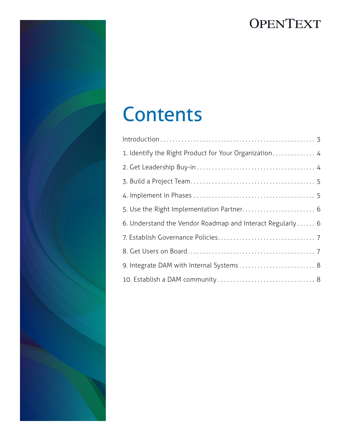

| 1. Identify the Right Product for Your Organization 4     |
|-----------------------------------------------------------|
|                                                           |
|                                                           |
|                                                           |
| 5. Use the Right Implementation Partner 6                 |
| 6. Understand the Vendor Roadmap and Interact Regularly 6 |
|                                                           |
|                                                           |
|                                                           |
|                                                           |

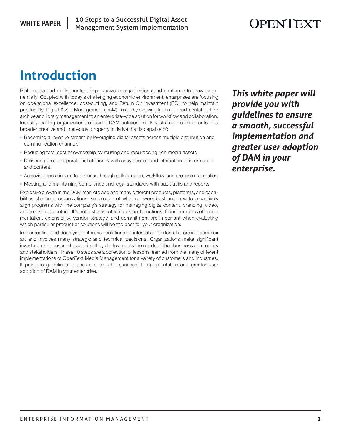# **Introduction**

Rich media and digital content is pervasive in organizations and continues to grow exponentially. Coupled with today's challenging economic environment, enterprises are focusing on operational excellence, cost-cutting, and Return On Investment (ROI) to help maintain profitability. Digital Asset Management (DAM) is rapidly evolving from a departmental tool for archive and library management to an enterprise-wide solution for workflow and collaboration. Industry-leading organizations consider DAM solutions as key strategic components of a broader creative and intellectual property initiative that is capable of:

- **Becoming a revenue stream by leveraging digital assets across multiple distribution and** communication channels
- Reducing total cost of ownership by reusing and repurposing rich media assets
- <sup>n</sup> Delivering greater operational efficiency with easy access and interaction to information and content
- **Achieving operational effectiveness through collaboration, workflow, and process automation**
- Meeting and maintaining compliance and legal standards with audit trails and reports

Explosive growth in the DAM marketplace and many different products, platforms, and capabilities challenge organizations' knowledge of what will work best and how to proactively align programs with the company's strategy for managing digital content, branding, video, and marketing content. It's not just a list of features and functions. Considerations of implementation, extensibility, vendor strategy, and commitment are important when evaluating which particular product or solutions will be the best for your organization.

Implementing and deploying enterprise solutions for internal and external users is a complex art and involves many strategic and technical decisions. Organizations make significant investments to ensure the solution they deploy meets the needs of their business community and stakeholders. These 10 steps are a collection of lessons learned from the many different implementations of OpenText Media Management for a variety of customers and industries. It provides guidelines to ensure a smooth, successful implementation and greater user adoption of DAM in your enterprise.

*This white paper will provide you with guidelines to ensure a smooth, successful implementation and greater user adoption of DAM in your enterprise.*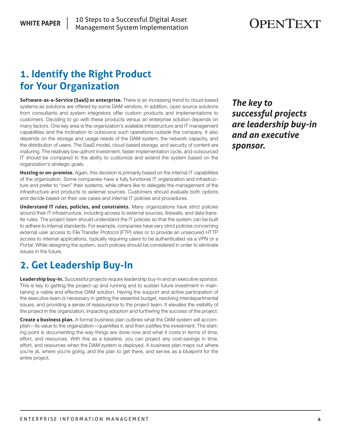### **1. Identify the Right Product for Your Organization**

**Software-as-a-Service (SaaS) or enterprise.** There is an increasing trend to cloud-based systems as solutions are offered by some DAM vendors. In addition, open source solutions from consultants and system integrators offer custom products and implementations to customers. Deciding to go with these products versus an enterprise solution depends on many factors. One key area is the organization's available infrastructure and IT management capabilities and the inclination to outsource such operations outside the company. It also depends on the storage and usage needs of the DAM system, the network capacity, and the distribution of users. The SaaS model, cloud-based storage, and security of content are maturing. The relatively low upfront investment, faster implementation cycle, and outsourced IT should be compared to the ability to customize and extend the system based on the organization's strategic goals.

**Hosting or on-premise.** Again, this decision is primarily based on the internal IT capabilities of the organization. Some companies have a fully functional IT organization and infrastructure and prefer to "own" their systems, while others like to delegate the management of the infrastructure and products to external sources. Customers should evaluate both options and decide based on their use cases and internal IT policies and procedures.

**Understand IT rules, policies, and constraints.** Many organizations have strict policies around their IT infrastructure, including access to external sources, firewalls, and data transfer rules. The project team should understand the IT policies so that the system can be built to adhere to internal standards. For example, companies have very strict policies concerning external user access to File Transfer Protocol (FTP) sites or to provide an unsecured HTTP access to internal applications, typically requiring users to be authenticated via a VPN or a Portal. While designing the system, such policies should be considered in order to eliminate issues in the future.

## **2. Get Leadership Buy-In**

**Leadership buy-in.** Successful projects require leadership buy-in and an executive sponsor. This is key to getting the project up and running and to sustain future investment in maintaining a viable and effective DAM solution. Having the support and active participation of the executive team is necessary in getting the essential budget, resolving interdepartmental issues, and providing a sense of reassurance to the project team. It elevates the visibility of the project in the organization, impacting adoption and furthering the success of the project.

**Create a business plan.** A formal business plan outlines what the DAM system will accomplish—its value to the organization—quantifies it, and then justifies the investment. The starting point is documenting the way things are done now and what it costs in terms of time, effort, and resources. With this as a baseline, you can project any cost-savings in time, effort, and resources when the DAM system is deployed. A business plan maps out where you're at, where you're going, and the plan to get there, and serves as a blueprint for the entire project.

*The key to successful projects are leadership buy-in and an executive sponsor.*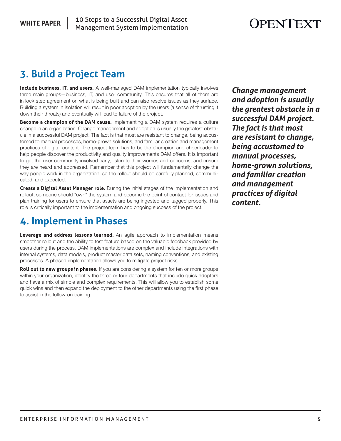## **3. Build a Project Team**

**Include business, IT, and users.** A well-managed DAM implementation typically involves three main groups—business, IT, and user community. This ensures that all of them are in lock step agreement on what is being built and can also resolve issues as they surface. Building a system in isolation will result in poor adoption by the users (a sense of thrusting it down their throats) and eventually will lead to failure of the project.

**Become a champion of the DAM cause.** Implementing a DAM system requires a culture change in an organization. Change management and adoption is usually the greatest obstacle in a successful DAM project. The fact is that most are resistant to change, being accustomed to manual processes, home-grown solutions, and familiar creation and management practices of digital content. The project team has to be the champion and cheerleader to help people discover the productivity and quality improvements DAM offers. It is important to get the user community involved early, listen to their worries and concerns, and ensure they are heard and addressed. Remember that this project will fundamentally change the way people work in the organization, so the rollout should be carefully planned, communicated, and executed.

**Create a Digital Asset Manager role.** During the initial stages of the implementation and rollout, someone should "own" the system and become the point of contact for issues and plan training for users to ensure that assets are being ingested and tagged properly. This role is critically important to the implementation and ongoing success of the project.

#### **4. Implement in Phases**

**Leverage and address lessons learned.** An agile approach to implementation means smoother rollout and the ability to test feature based on the valuable feedback provided by users during the process. DAM implementations are complex and include integrations with internal systems, data models, product master data sets, naming conventions, and existing processes. A phased implementation allows you to mitigate project risks.

**Roll out to new groups in phases.** If you are considering a system for ten or more groups within your organization, identify the three or four departments that include quick adopters and have a mix of simple and complex requirements. This will allow you to establish some quick wins and then expand the deployment to the other departments using the first phase to assist in the follow-on training.

*Change management and adoption is usually the greatest obstacle in a successful DAM project. The fact is that most are resistant to change, being accustomed to manual processes, home-grown solutions, and familiar creation and management practices of digital content.*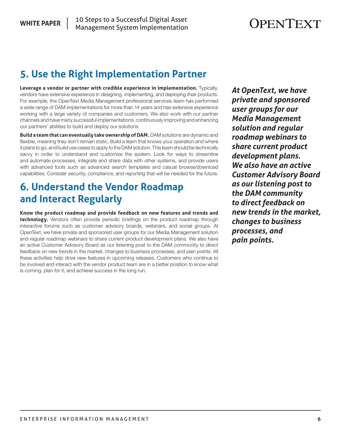#### **5. Use the Right Implementation Partner**

**Leverage a vendor or partner with credible experience in implementation.** Typically, vendors have extensive experience in designing, implementing, and deploying their products. For example, the OpenText Media Management professional services team has performed a wide range of DAM implementations for more than 14 years and has extensive experience working with a large variety of companies and customers. We also work with our partner channels and have many successful implementations, continuously improving and enhancing our partners' abilities to build and deploy our solutions.

**Build a team that can eventually take ownership of DAM.** DAM solutions are dynamic and flexible, meaning they don't remain static. Build a team that knows your operation and where it plans to go, and build use cases to apply to the DAM solution. This team should be technically savvy in order to understand and customize the system. Look for ways to streamline and automate processes, integrate and share data with other systems, and provide users with advanced tools such as advanced search templates and casual browse/download capabilities. Consider security, compliance, and reporting that will be needed for the future.

### **6. Understand the Vendor Roadmap and Interact Regularly**

**Know the product roadmap and provide feedback on new features and trends and technology.** Vendors often provide periodic briefings on the product roadmap through interactive forums such as customer advisory boards, webinars, and social groups. At OpenText, we have private and sponsored user groups for our Media Management solution and regular roadmap webinars to share current product development plans. We also have an active Customer Advisory Board as our listening post to the DAM community to direct feedback on new trends in the market, changes to business processes, and pain points. All these activities help drive new features in upcoming releases. Customers who continue to be involved and interact with the vendor product team are in a better position to know what is coming, plan for it, and achieve success in the long run.

*At OpenText, we have private and sponsored user groups for our Media Management solution and regular roadmap webinars to share current product development plans. We also have an active Customer Advisory Board as our listening post to the DAM community to direct feedback on new trends in the market, changes to business processes, and pain points.*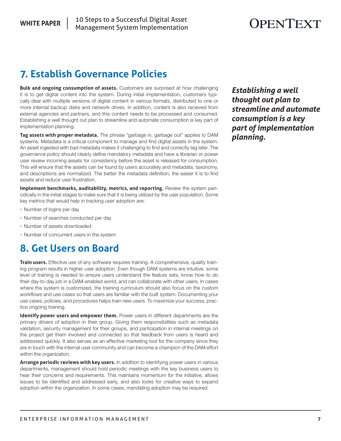#### **WHITE PAPER**

# OPENTEXT

## **7. Establish Governance Policies**

**Bulk and ongoing consumption of assets.** Customers are surprised at how challenging it is to get digital content into the system. During initial implementation, customers typically deal with multiple versions of digital content in various formats, distributed to one or more internal backup disks and network drives. In addition, content is also received from external agencies and partners, and this content needs to be processed and consumed. Establishing a well thought out plan to streamline and automate consumption is key part of implementation planning.

**Tag assets with proper metadata.** The phrase "garbage in, garbage out" applies to DAM systems. Metadata is a critical component to manage and find digital assets in the system. An asset ingested with bad metadata makes it challenging to find and correctly tag later. The governance policy should clearly define mandatory metadata and have a librarian or power user review incoming assets for consistency before the asset is released for consumption. This will ensure that the assets can be found by users accurately and metadata, taxonomy, and descriptions are normalized. The better the metadata definition, the easier it is to find assets and reduce user frustration.

**Implement benchmarks, auditability, metrics, and reporting.** Review the system periodically in the initial stages to make sure that it is being utilized by the user population. Some key metrics that would help in tracking user adoption are:

- Number of logins per day
- Number of searches conducted per day
- Number of assets downloaded
- Number of concurrent users in the system

#### **8. Get Users on Board**

**Train users.** Effective use of any software requires training. A comprehensive, quality training program results in higher user adoption. Even though DAM systems are intuitive, some level of training is needed to ensure users understand the feature sets, know how to do their day-to-day job in a DAM-enabled world, and can collaborate with other users. In cases where the system is customized, the training curriculum should also focus on the custom workflows and use cases so that users are familiar with the built system. Documenting your use cases, policies, and procedures helps train new users. To maximize your success, practice ongoing training.

**Identify power users and empower them.** Power users in different departments are the primary drivers of adoption in their group. Giving them responsibilities such as metadata validation, security management for their groups, and participation in internal meetings on the project get them involved and connected so that feedback from users is heard and addressed quickly. It also serves as an effective marketing tool for the company since they are in touch with the internal user community and can become a champion of the DAM effort within the organization.

**Arrange periodic reviews with key users.** In addition to identifying power users in various departments, management should hold periodic meetings with the key business users to hear their concerns and requirements. This maintains momentum for the initiative, allows issues to be identified and addressed early, and also looks for creative ways to expand adoption within the organization. In some cases, mandating adoption may be required.

*Establishing a well thought out plan to streamline and automate consumption is a key part of implementation planning.*